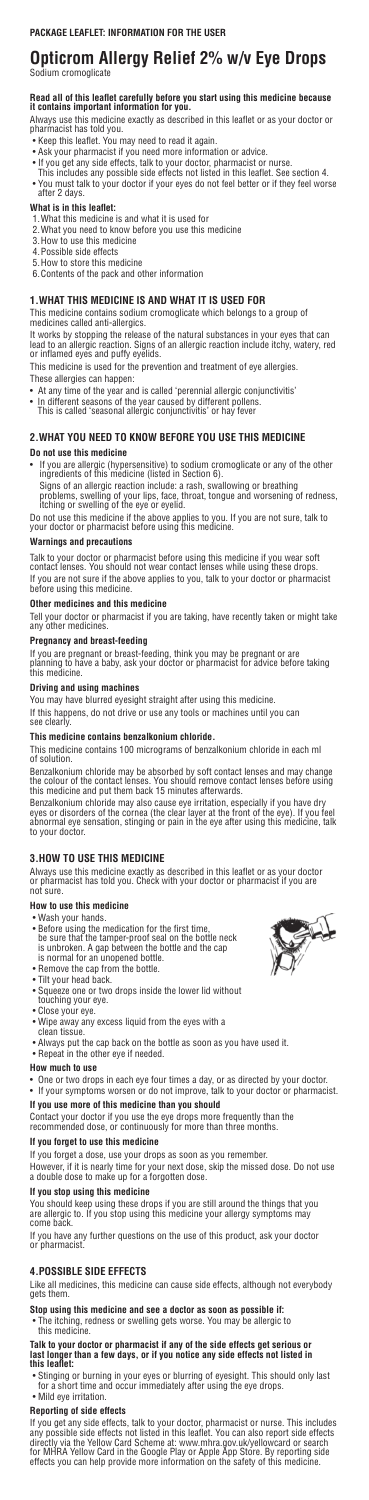# **Opticrom Allergy Relief 2% w/v Eye Drops**

Sodium cromoglicate

# **Read all of this leaflet carefully before you start using this medicine because it contains important information for you.**

Always use this medicine exactly as described in this leaflet or as your doctor or pharmacist has told you.

- Keep this leaflet. You may need to read it again.
- Ask your pharmacist if you need more information or advice.
- If you get any side effects, talk to your doctor, pharmacist or nurse.
- This includes any possible side effects not listed in this leaflet. See section 4.
- You must talk to your doctor if your eyes do not feel better or if they feel worse after 2 days.

# **What is in this leaflet:**

- 1.What this medicine is and what it is used for
- 2.What you need to know before you use this medicine
- 3.How to use this medicine
- 4.Possible side effects
- 5.How to store this medicine
- 6.Contents of the pack and other information

# **1.WHAT THIS MEDICINE IS AND WHAT IT IS USED FOR**

This medicine contains sodium cromoglicate which belongs to a group of medicines called anti-allergics.

It works by stopping the release of the natural substances in your eyes that can lead to an allergic reaction. Signs of an allergic reaction include itchy, watery, red or inflamed eyes and puffy eyelids.

This medicine is used for the prevention and treatment of eye allergies. These allergies can happen:

- At any time of the year and is called 'perennial allergic conjunctivitis'
- In different seasons of the year caused by different pollens. This is called 'seasonal allergic conjunctivitis' or hay fever

# **2.WHAT YOU NEED TO KNOW BEFORE YOU USE THIS MEDICINE**

# **Do not use this medicine**

• If you are allergic (hypersensitive) to sodium cromoglicate or any of the other ingredients of this medicine (listed in Section 6).

Signs of an allergic reaction include: a rash, swallowing or breathing problems, swelling of your lips, face, throat, tongue and worsening of redness, itching or swelling of the eye or eyelid.

Do not use this medicine if the above applies to you. If you are not sure, talk to your doctor or pharmacist before using this medicine.

## **Warnings and precautions**

- One or two drops in each eve four times a day, or as directed by your doctor.
- If your symptoms worsen or do not improve, talk to your doctor or pharmacist.

Talk to your doctor or pharmacist before using this medicine if you wear soft contact lenses. You should not wear contact lenses while using these drops. If you are not sure if the above applies to you, talk to your doctor or pharmacist before using this medicine.

## **Other medicines and this medicine**

Tell your doctor or pharmacist if you are taking, have recently taken or might take any other medicines.

# **Pregnancy and breast-feeding**

If you are pregnant or breast-feeding, think you may be pregnant or are planning to have a baby, ask your doctor or pharmacist for advice before taking this medicine.

# **Driving and using machines**

You may have blurred eyesight straight after using this medicine. If this happens, do not drive or use any tools or machines until you can see clearly.

## **This medicine contains benzalkonium chloride.**

This medicine contains 100 micrograms of benzalkonium chloride in each ml of solution.

Benzalkonium chloride may be absorbed by soft contact lenses and may change the colour of the contact lenses. You should remove contact lenses before using this medicine and put them back 15 minutes afterwards.

Benzalkonium chloride may also cause eye irritation, especially if you have dry eyes or disorders of the cornea (the clear layer at the front of the eye). If you feel abnormal eye sensation, stinging or pain in the eye after using this medicine, talk to your doctor.

# **3.HOW TO USE THIS MEDICINE**

Always use this medicine exactly as described in this leaflet or as your doctor or pharmacist has told you. Check with your doctor or pharmacist if you are not sure.

## **How to use this medicine**

- Wash your hands.
- Before using the medication for the first time, be sure that the tamper-proof seal on the bottle neck is unbroken. A gap between the bottle and the cap is normal for an unopened bottle.
- Remove the cap from the bottle.
- Tilt your head back.
- Squeeze one or two drops inside the lower lid without touching your eye.
- Close your eye.
- Wipe away any excess liquid from the eyes with a clean tissue.
- Always put the cap back on the bottle as soon as you have used it.
- Repeat in the other eye if needed.

# **How much to use**

# **If you use more of this medicine than you should**

Contact your doctor if you use the eye drops more frequently than the recommended dose, or continuously for more than three months.

# **If you forget to use this medicine**

If you forget a dose, use your drops as soon as you remember.

However, if it is nearly time for your next dose, skip the missed dose. Do not use a double dose to make up for a forgotten dose.

# **If you stop using this medicine**

You should keep using these drops if you are still around the things that you are allergic to. If you stop using this medicine your allergy symptoms may come back.

If you have any further questions on the use of this product, ask your doctor or pharmacist.

# **4.POSSIBLE SIDE EFFECTS**

Like all medicines, this medicine can cause side effects, although not everybody gets them.

# **Stop using this medicine and see a doctor as soon as possible if:**

• The itching, redness or swelling gets worse. You may be allergic to this medicine.

#### **Talk to your doctor or pharmacist if any of the side effects get serious or last longer than a few days, or if you notice any side effects not listed in this leaflet:**

- Stinging or burning in your eyes or blurring of eyesight. This should only last for a short time and occur immediately after using the eye drops.
- Mild eye irritation.

# **Reporting of side effects**

If you get any side effects, talk to your doctor, pharmacist or nurse. This includes any possible side effects not listed in this leaflet. You can also report side effects directly via the Yellow Card Scheme at: www.mhra.gov.uk/yellowcard or search for MHRA Yellow Card in the Google Play or Apple App Store. By reporting side effects you can help provide more information on the safety of this medicine.